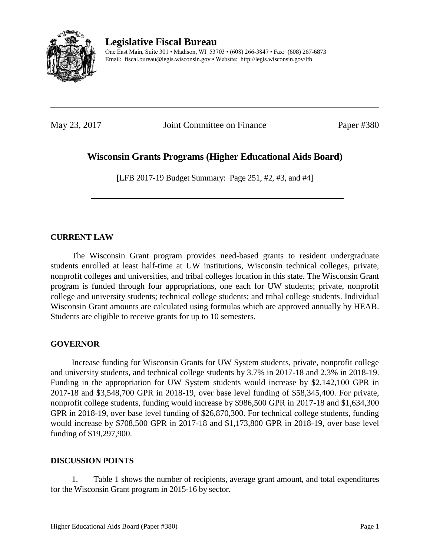

**Legislative Fiscal Bureau**

One East Main, Suite 301 • Madison, WI 53703 • (608) 266-3847 • Fax: (608) 267-6873 Email: fiscal.bureau@legis.wisconsin.gov • Website:<http://legis.wisconsin.gov/lfb>

May 23, 2017 **Joint Committee on Finance** Paper #380

# **Wisconsin Grants Programs (Higher Educational Aids Board)**

[LFB 2017-19 Budget Summary: Page 251, #2, #3, and #4]

# **CURRENT LAW**

The Wisconsin Grant program provides need-based grants to resident undergraduate students enrolled at least half-time at UW institutions, Wisconsin technical colleges, private, nonprofit colleges and universities, and tribal colleges location in this state. The Wisconsin Grant program is funded through four appropriations, one each for UW students; private, nonprofit college and university students; technical college students; and tribal college students. Individual Wisconsin Grant amounts are calculated using formulas which are approved annually by HEAB. Students are eligible to receive grants for up to 10 semesters.

# **GOVERNOR**

Increase funding for Wisconsin Grants for UW System students, private, nonprofit college and university students, and technical college students by 3.7% in 2017-18 and 2.3% in 2018-19. Funding in the appropriation for UW System students would increase by \$2,142,100 GPR in 2017-18 and \$3,548,700 GPR in 2018-19, over base level funding of \$58,345,400. For private, nonprofit college students, funding would increase by \$986,500 GPR in 2017-18 and \$1,634,300 GPR in 2018-19, over base level funding of \$26,870,300. For technical college students, funding would increase by \$708,500 GPR in 2017-18 and \$1,173,800 GPR in 2018-19, over base level funding of \$19,297,900.

# **DISCUSSION POINTS**

1. Table 1 shows the number of recipients, average grant amount, and total expenditures for the Wisconsin Grant program in 2015-16 by sector.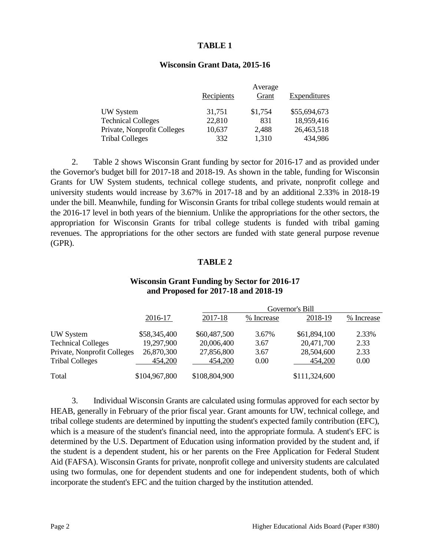#### **TABLE 1**

#### **Wisconsin Grant Data, 2015-16**

|                             | Recipients | Average<br>Grant | Expenditures |
|-----------------------------|------------|------------------|--------------|
| UW System                   | 31,751     | \$1,754          | \$55,694,673 |
| <b>Technical Colleges</b>   | 22,810     | 831              | 18,959,416   |
| Private, Nonprofit Colleges | 10,637     | 2,488            | 26,463,518   |
| <b>Tribal Colleges</b>      | 332        | 1,310            | 434,986      |

2. Table 2 shows Wisconsin Grant funding by sector for 2016-17 and as provided under the Governor's budget bill for 2017-18 and 2018-19. As shown in the table, funding for Wisconsin Grants for UW System students, technical college students, and private, nonprofit college and university students would increase by 3.67% in 2017-18 and by an additional 2.33% in 2018-19 under the bill. Meanwhile, funding for Wisconsin Grants for tribal college students would remain at the 2016-17 level in both years of the biennium. Unlike the appropriations for the other sectors, the appropriation for Wisconsin Grants for tribal college students is funded with tribal gaming revenues. The appropriations for the other sectors are funded with state general purpose revenue (GPR).

### **TABLE 2**

| and Proposed for 2017-18 and 2018-19 |                 |               |            |               |            |
|--------------------------------------|-----------------|---------------|------------|---------------|------------|
|                                      | Governor's Bill |               |            |               |            |
|                                      | 2016-17         | 2017-18       | % Increase | 2018-19       | % Increase |
| UW System                            | \$58,345,400    | \$60,487,500  | 3.67%      | \$61,894,100  | 2.33%      |
| <b>Technical Colleges</b>            | 19,297,900      | 20,006,400    | 3.67       | 20,471,700    | 2.33       |
| Private, Nonprofit Colleges          | 26,870,300      | 27,856,800    | 3.67       | 28,504,600    | 2.33       |
| <b>Tribal Colleges</b>               | 454,200         | 454,200       | 0.00       | 454,200       | 0.00       |
| Total                                | \$104,967,800   | \$108,804,900 |            | \$111,324,600 |            |

### **Wisconsin Grant Funding by Sector for 2016-17 and Proposed for 2017-18 and 2018-19**

3. Individual Wisconsin Grants are calculated using formulas approved for each sector by HEAB, generally in February of the prior fiscal year. Grant amounts for UW, technical college, and tribal college students are determined by inputting the student's expected family contribution (EFC), which is a measure of the student's financial need, into the appropriate formula. A student's EFC is determined by the U.S. Department of Education using information provided by the student and, if the student is a dependent student, his or her parents on the Free Application for Federal Student Aid (FAFSA). Wisconsin Grants for private, nonprofit college and university students are calculated using two formulas, one for dependent students and one for independent students, both of which incorporate the student's EFC and the tuition charged by the institution attended.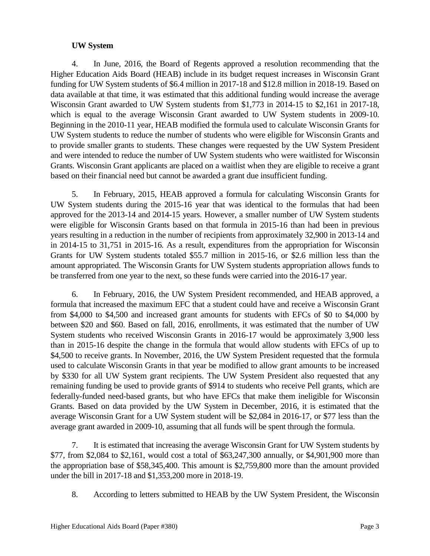# **UW System**

4. In June, 2016, the Board of Regents approved a resolution recommending that the Higher Education Aids Board (HEAB) include in its budget request increases in Wisconsin Grant funding for UW System students of \$6.4 million in 2017-18 and \$12.8 million in 2018-19. Based on data available at that time, it was estimated that this additional funding would increase the average Wisconsin Grant awarded to UW System students from \$1,773 in 2014-15 to \$2,161 in 2017-18, which is equal to the average Wisconsin Grant awarded to UW System students in 2009-10. Beginning in the 2010-11 year, HEAB modified the formula used to calculate Wisconsin Grants for UW System students to reduce the number of students who were eligible for Wisconsin Grants and to provide smaller grants to students. These changes were requested by the UW System President and were intended to reduce the number of UW System students who were waitlisted for Wisconsin Grants. Wisconsin Grant applicants are placed on a waitlist when they are eligible to receive a grant based on their financial need but cannot be awarded a grant due insufficient funding.

5. In February, 2015, HEAB approved a formula for calculating Wisconsin Grants for UW System students during the 2015-16 year that was identical to the formulas that had been approved for the 2013-14 and 2014-15 years. However, a smaller number of UW System students were eligible for Wisconsin Grants based on that formula in 2015-16 than had been in previous years resulting in a reduction in the number of recipients from approximately 32,900 in 2013-14 and in 2014-15 to 31,751 in 2015-16. As a result, expenditures from the appropriation for Wisconsin Grants for UW System students totaled \$55.7 million in 2015-16, or \$2.6 million less than the amount appropriated. The Wisconsin Grants for UW System students appropriation allows funds to be transferred from one year to the next, so these funds were carried into the 2016-17 year.

6. In February, 2016, the UW System President recommended, and HEAB approved, a formula that increased the maximum EFC that a student could have and receive a Wisconsin Grant from \$4,000 to \$4,500 and increased grant amounts for students with EFCs of \$0 to \$4,000 by between \$20 and \$60. Based on fall, 2016, enrollments, it was estimated that the number of UW System students who received Wisconsin Grants in 2016-17 would be approximately 3,900 less than in 2015-16 despite the change in the formula that would allow students with EFCs of up to \$4,500 to receive grants. In November, 2016, the UW System President requested that the formula used to calculate Wisconsin Grants in that year be modified to allow grant amounts to be increased by \$330 for all UW System grant recipients. The UW System President also requested that any remaining funding be used to provide grants of \$914 to students who receive Pell grants, which are federally-funded need-based grants, but who have EFCs that make them ineligible for Wisconsin Grants. Based on data provided by the UW System in December, 2016, it is estimated that the average Wisconsin Grant for a UW System student will be \$2,084 in 2016-17, or \$77 less than the average grant awarded in 2009-10, assuming that all funds will be spent through the formula.

7. It is estimated that increasing the average Wisconsin Grant for UW System students by \$77, from \$2,084 to \$2,161, would cost a total of \$63,247,300 annually, or \$4,901,900 more than the appropriation base of \$58,345,400. This amount is \$2,759,800 more than the amount provided under the bill in 2017-18 and \$1,353,200 more in 2018-19.

8. According to letters submitted to HEAB by the UW System President, the Wisconsin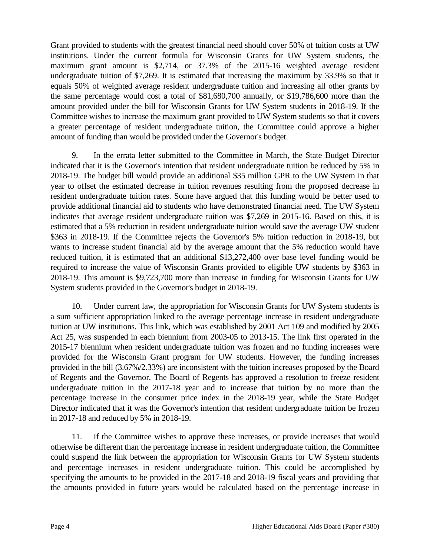Grant provided to students with the greatest financial need should cover 50% of tuition costs at UW institutions. Under the current formula for Wisconsin Grants for UW System students, the maximum grant amount is \$2,714, or 37.3% of the 2015-16 weighted average resident undergraduate tuition of \$7,269. It is estimated that increasing the maximum by 33.9% so that it equals 50% of weighted average resident undergraduate tuition and increasing all other grants by the same percentage would cost a total of \$81,680,700 annually, or \$19,786,600 more than the amount provided under the bill for Wisconsin Grants for UW System students in 2018-19. If the Committee wishes to increase the maximum grant provided to UW System students so that it covers a greater percentage of resident undergraduate tuition, the Committee could approve a higher amount of funding than would be provided under the Governor's budget.

9. In the errata letter submitted to the Committee in March, the State Budget Director indicated that it is the Governor's intention that resident undergraduate tuition be reduced by 5% in 2018-19. The budget bill would provide an additional \$35 million GPR to the UW System in that year to offset the estimated decrease in tuition revenues resulting from the proposed decrease in resident undergraduate tuition rates. Some have argued that this funding would be better used to provide additional financial aid to students who have demonstrated financial need. The UW System indicates that average resident undergraduate tuition was \$7,269 in 2015-16. Based on this, it is estimated that a 5% reduction in resident undergraduate tuition would save the average UW student \$363 in 2018-19. If the Committee rejects the Governor's 5% tuition reduction in 2018-19, but wants to increase student financial aid by the average amount that the 5% reduction would have reduced tuition, it is estimated that an additional \$13,272,400 over base level funding would be required to increase the value of Wisconsin Grants provided to eligible UW students by \$363 in 2018-19. This amount is \$9,723,700 more than increase in funding for Wisconsin Grants for UW System students provided in the Governor's budget in 2018-19.

10. Under current law, the appropriation for Wisconsin Grants for UW System students is a sum sufficient appropriation linked to the average percentage increase in resident undergraduate tuition at UW institutions. This link, which was established by 2001 Act 109 and modified by 2005 Act 25, was suspended in each biennium from 2003-05 to 2013-15. The link first operated in the 2015-17 biennium when resident undergraduate tuition was frozen and no funding increases were provided for the Wisconsin Grant program for UW students. However, the funding increases provided in the bill (3.67%/2.33%) are inconsistent with the tuition increases proposed by the Board of Regents and the Governor. The Board of Regents has approved a resolution to freeze resident undergraduate tuition in the 2017-18 year and to increase that tuition by no more than the percentage increase in the consumer price index in the 2018-19 year, while the State Budget Director indicated that it was the Governor's intention that resident undergraduate tuition be frozen in 2017-18 and reduced by 5% in 2018-19.

11. If the Committee wishes to approve these increases, or provide increases that would otherwise be different than the percentage increase in resident undergraduate tuition, the Committee could suspend the link between the appropriation for Wisconsin Grants for UW System students and percentage increases in resident undergraduate tuition. This could be accomplished by specifying the amounts to be provided in the 2017-18 and 2018-19 fiscal years and providing that the amounts provided in future years would be calculated based on the percentage increase in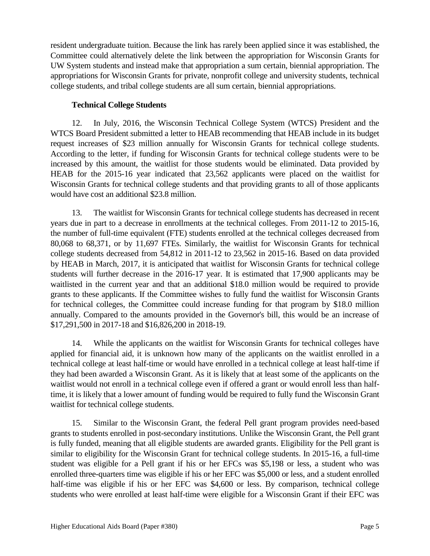resident undergraduate tuition. Because the link has rarely been applied since it was established, the Committee could alternatively delete the link between the appropriation for Wisconsin Grants for UW System students and instead make that appropriation a sum certain, biennial appropriation. The appropriations for Wisconsin Grants for private, nonprofit college and university students, technical college students, and tribal college students are all sum certain, biennial appropriations.

# **Technical College Students**

12. In July, 2016, the Wisconsin Technical College System (WTCS) President and the WTCS Board President submitted a letter to HEAB recommending that HEAB include in its budget request increases of \$23 million annually for Wisconsin Grants for technical college students. According to the letter, if funding for Wisconsin Grants for technical college students were to be increased by this amount, the waitlist for those students would be eliminated. Data provided by HEAB for the 2015-16 year indicated that 23,562 applicants were placed on the waitlist for Wisconsin Grants for technical college students and that providing grants to all of those applicants would have cost an additional \$23.8 million.

13. The waitlist for Wisconsin Grants for technical college students has decreased in recent years due in part to a decrease in enrollments at the technical colleges. From 2011-12 to 2015-16, the number of full-time equivalent (FTE) students enrolled at the technical colleges decreased from 80,068 to 68,371, or by 11,697 FTEs. Similarly, the waitlist for Wisconsin Grants for technical college students decreased from 54,812 in 2011-12 to 23,562 in 2015-16. Based on data provided by HEAB in March, 2017, it is anticipated that waitlist for Wisconsin Grants for technical college students will further decrease in the 2016-17 year. It is estimated that 17,900 applicants may be waitlisted in the current year and that an additional \$18.0 million would be required to provide grants to these applicants. If the Committee wishes to fully fund the waitlist for Wisconsin Grants for technical colleges, the Committee could increase funding for that program by \$18.0 million annually. Compared to the amounts provided in the Governor's bill, this would be an increase of \$17,291,500 in 2017-18 and \$16,826,200 in 2018-19.

14. While the applicants on the waitlist for Wisconsin Grants for technical colleges have applied for financial aid, it is unknown how many of the applicants on the waitlist enrolled in a technical college at least half-time or would have enrolled in a technical college at least half-time if they had been awarded a Wisconsin Grant. As it is likely that at least some of the applicants on the waitlist would not enroll in a technical college even if offered a grant or would enroll less than halftime, it is likely that a lower amount of funding would be required to fully fund the Wisconsin Grant waitlist for technical college students.

15. Similar to the Wisconsin Grant, the federal Pell grant program provides need-based grants to students enrolled in post-secondary institutions. Unlike the Wisconsin Grant, the Pell grant is fully funded, meaning that all eligible students are awarded grants. Eligibility for the Pell grant is similar to eligibility for the Wisconsin Grant for technical college students. In 2015-16, a full-time student was eligible for a Pell grant if his or her EFCs was \$5,198 or less, a student who was enrolled three-quarters time was eligible if his or her EFC was \$5,000 or less, and a student enrolled half-time was eligible if his or her EFC was \$4,600 or less. By comparison, technical college students who were enrolled at least half-time were eligible for a Wisconsin Grant if their EFC was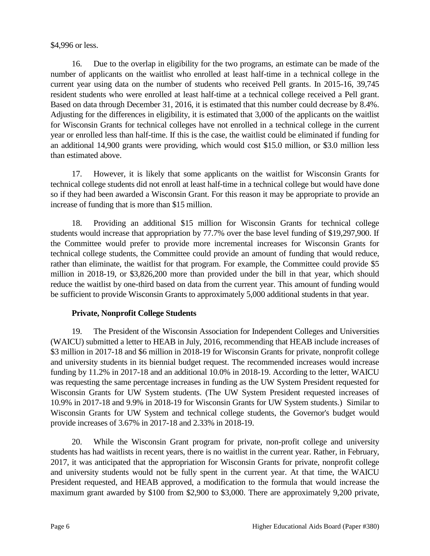### \$4,996 or less.

16. Due to the overlap in eligibility for the two programs, an estimate can be made of the number of applicants on the waitlist who enrolled at least half-time in a technical college in the current year using data on the number of students who received Pell grants. In 2015-16, 39,745 resident students who were enrolled at least half-time at a technical college received a Pell grant. Based on data through December 31, 2016, it is estimated that this number could decrease by 8.4%. Adjusting for the differences in eligibility, it is estimated that 3,000 of the applicants on the waitlist for Wisconsin Grants for technical colleges have not enrolled in a technical college in the current year or enrolled less than half-time. If this is the case, the waitlist could be eliminated if funding for an additional 14,900 grants were providing, which would cost \$15.0 million, or \$3.0 million less than estimated above.

17. However, it is likely that some applicants on the waitlist for Wisconsin Grants for technical college students did not enroll at least half-time in a technical college but would have done so if they had been awarded a Wisconsin Grant. For this reason it may be appropriate to provide an increase of funding that is more than \$15 million.

18. Providing an additional \$15 million for Wisconsin Grants for technical college students would increase that appropriation by 77.7% over the base level funding of \$19,297,900. If the Committee would prefer to provide more incremental increases for Wisconsin Grants for technical college students, the Committee could provide an amount of funding that would reduce, rather than eliminate, the waitlist for that program. For example, the Committee could provide \$5 million in 2018-19, or \$3,826,200 more than provided under the bill in that year, which should reduce the waitlist by one-third based on data from the current year. This amount of funding would be sufficient to provide Wisconsin Grants to approximately 5,000 additional students in that year.

# **Private, Nonprofit College Students**

19. The President of the Wisconsin Association for Independent Colleges and Universities (WAICU) submitted a letter to HEAB in July, 2016, recommending that HEAB include increases of \$3 million in 2017-18 and \$6 million in 2018-19 for Wisconsin Grants for private, nonprofit college and university students in its biennial budget request. The recommended increases would increase funding by 11.2% in 2017-18 and an additional 10.0% in 2018-19. According to the letter, WAICU was requesting the same percentage increases in funding as the UW System President requested for Wisconsin Grants for UW System students. (The UW System President requested increases of 10.9% in 2017-18 and 9.9% in 2018-19 for Wisconsin Grants for UW System students.) Similar to Wisconsin Grants for UW System and technical college students, the Governor's budget would provide increases of 3.67% in 2017-18 and 2.33% in 2018-19.

20. While the Wisconsin Grant program for private, non-profit college and university students has had waitlists in recent years, there is no waitlist in the current year. Rather, in February, 2017, it was anticipated that the appropriation for Wisconsin Grants for private, nonprofit college and university students would not be fully spent in the current year. At that time, the WAICU President requested, and HEAB approved, a modification to the formula that would increase the maximum grant awarded by \$100 from \$2,900 to \$3,000. There are approximately 9,200 private,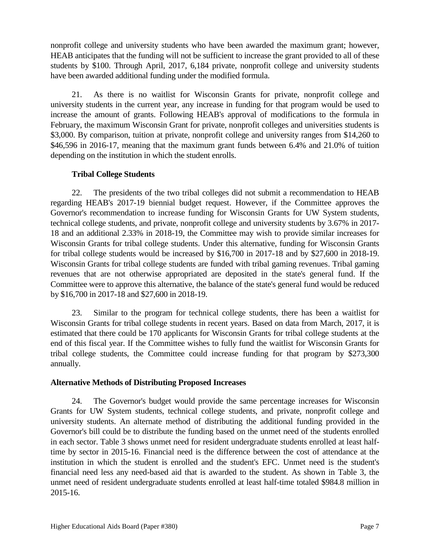nonprofit college and university students who have been awarded the maximum grant; however, HEAB anticipates that the funding will not be sufficient to increase the grant provided to all of these students by \$100. Through April, 2017, 6,184 private, nonprofit college and university students have been awarded additional funding under the modified formula.

21. As there is no waitlist for Wisconsin Grants for private, nonprofit college and university students in the current year, any increase in funding for that program would be used to increase the amount of grants. Following HEAB's approval of modifications to the formula in February, the maximum Wisconsin Grant for private, nonprofit colleges and universities students is \$3,000. By comparison, tuition at private, nonprofit college and university ranges from \$14,260 to \$46,596 in 2016-17, meaning that the maximum grant funds between 6.4% and 21.0% of tuition depending on the institution in which the student enrolls.

# **Tribal College Students**

22. The presidents of the two tribal colleges did not submit a recommendation to HEAB regarding HEAB's 2017-19 biennial budget request. However, if the Committee approves the Governor's recommendation to increase funding for Wisconsin Grants for UW System students, technical college students, and private, nonprofit college and university students by 3.67% in 2017- 18 and an additional 2.33% in 2018-19, the Committee may wish to provide similar increases for Wisconsin Grants for tribal college students. Under this alternative, funding for Wisconsin Grants for tribal college students would be increased by \$16,700 in 2017-18 and by \$27,600 in 2018-19. Wisconsin Grants for tribal college students are funded with tribal gaming revenues. Tribal gaming revenues that are not otherwise appropriated are deposited in the state's general fund. If the Committee were to approve this alternative, the balance of the state's general fund would be reduced by \$16,700 in 2017-18 and \$27,600 in 2018-19.

23. Similar to the program for technical college students, there has been a waitlist for Wisconsin Grants for tribal college students in recent years. Based on data from March, 2017, it is estimated that there could be 170 applicants for Wisconsin Grants for tribal college students at the end of this fiscal year. If the Committee wishes to fully fund the waitlist for Wisconsin Grants for tribal college students, the Committee could increase funding for that program by \$273,300 annually.

# **Alternative Methods of Distributing Proposed Increases**

24. The Governor's budget would provide the same percentage increases for Wisconsin Grants for UW System students, technical college students, and private, nonprofit college and university students. An alternate method of distributing the additional funding provided in the Governor's bill could be to distribute the funding based on the unmet need of the students enrolled in each sector. Table 3 shows unmet need for resident undergraduate students enrolled at least halftime by sector in 2015-16. Financial need is the difference between the cost of attendance at the institution in which the student is enrolled and the student's EFC. Unmet need is the student's financial need less any need-based aid that is awarded to the student. As shown in Table 3, the unmet need of resident undergraduate students enrolled at least half-time totaled \$984.8 million in 2015-16.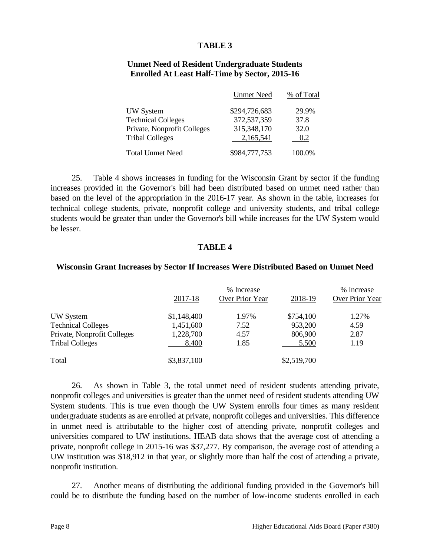#### **TABLE 3**

#### **Unmet Need of Resident Undergraduate Students Enrolled At Least Half-Time by Sector, 2015-16**

|                             | <b>Unmet Need</b> | % of Total |
|-----------------------------|-------------------|------------|
| <b>UW</b> System            | \$294,726,683     | 29.9%      |
| <b>Technical Colleges</b>   | 372,537,359       | 37.8       |
| Private, Nonprofit Colleges | 315,348,170       | 32.0       |
| <b>Tribal Colleges</b>      | 2,165,541         | 0.2        |
| <b>Total Unmet Need</b>     | \$984,777,753     | 100.0%     |

25. Table 4 shows increases in funding for the Wisconsin Grant by sector if the funding increases provided in the Governor's bill had been distributed based on unmet need rather than based on the level of the appropriation in the 2016-17 year. As shown in the table, increases for technical college students, private, nonprofit college and university students, and tribal college students would be greater than under the Governor's bill while increases for the UW System would be lesser.

#### **TABLE 4**

#### **Wisconsin Grant Increases by Sector If Increases Were Distributed Based on Unmet Need**

|                             | 2017-18     | % Increase<br>Over Prior Year | 2018-19     | % Increase<br>Over Prior Year |
|-----------------------------|-------------|-------------------------------|-------------|-------------------------------|
| UW System                   | \$1,148,400 | 1.97%                         | \$754,100   | 1.27%                         |
| <b>Technical Colleges</b>   | 1,451,600   | 7.52                          | 953,200     | 4.59                          |
| Private, Nonprofit Colleges | 1,228,700   | 4.57                          | 806,900     | 2.87                          |
| <b>Tribal Colleges</b>      | 8,400       | 1.85                          | 5,500       | 1.19                          |
| Total                       | \$3,837,100 |                               | \$2,519,700 |                               |

26. As shown in Table 3, the total unmet need of resident students attending private, nonprofit colleges and universities is greater than the unmet need of resident students attending UW System students. This is true even though the UW System enrolls four times as many resident undergraduate students as are enrolled at private, nonprofit colleges and universities. This difference in unmet need is attributable to the higher cost of attending private, nonprofit colleges and universities compared to UW institutions. HEAB data shows that the average cost of attending a private, nonprofit college in 2015-16 was \$37,277. By comparison, the average cost of attending a UW institution was \$18,912 in that year, or slightly more than half the cost of attending a private, nonprofit institution.

27. Another means of distributing the additional funding provided in the Governor's bill could be to distribute the funding based on the number of low-income students enrolled in each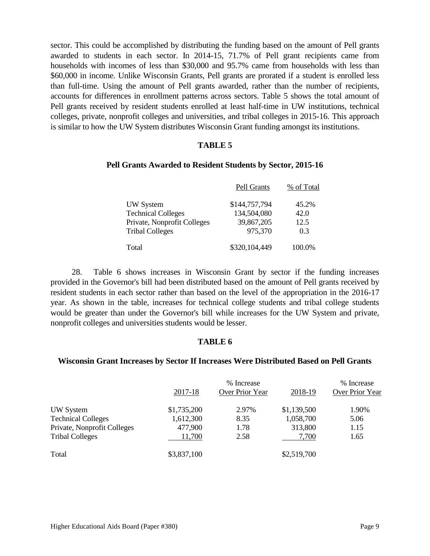sector. This could be accomplished by distributing the funding based on the amount of Pell grants awarded to students in each sector. In 2014-15, 71.7% of Pell grant recipients came from households with incomes of less than \$30,000 and 95.7% came from households with less than \$60,000 in income. Unlike Wisconsin Grants, Pell grants are prorated if a student is enrolled less than full-time. Using the amount of Pell grants awarded, rather than the number of recipients, accounts for differences in enrollment patterns across sectors. Table 5 shows the total amount of Pell grants received by resident students enrolled at least half-time in UW institutions, technical colleges, private, nonprofit colleges and universities, and tribal colleges in 2015-16. This approach is similar to how the UW System distributes Wisconsin Grant funding amongst its institutions.

#### **TABLE 5**

#### **Pell Grants Awarded to Resident Students by Sector, 2015-16**

|                             | Pell Grants   | % of Total |
|-----------------------------|---------------|------------|
| <b>UW</b> System            | \$144,757,794 | 45.2%      |
| <b>Technical Colleges</b>   | 134,504,080   | 42.0       |
| Private, Nonprofit Colleges | 39,867,205    | 12.5       |
| <b>Tribal Colleges</b>      | 975,370       | 0.3        |
| Total                       | \$320,104,449 | 100.0%     |

28. Table 6 shows increases in Wisconsin Grant by sector if the funding increases provided in the Governor's bill had been distributed based on the amount of Pell grants received by resident students in each sector rather than based on the level of the appropriation in the 2016-17 year. As shown in the table, increases for technical college students and tribal college students would be greater than under the Governor's bill while increases for the UW System and private, nonprofit colleges and universities students would be lesser.

### **TABLE 6**

#### **Wisconsin Grant Increases by Sector If Increases Were Distributed Based on Pell Grants**

|                             |             | % Increase      |             | % Increase      |
|-----------------------------|-------------|-----------------|-------------|-----------------|
|                             | 2017-18     | Over Prior Year | 2018-19     | Over Prior Year |
| <b>UW</b> System            | \$1,735,200 | 2.97%           | \$1,139,500 | 1.90%           |
| <b>Technical Colleges</b>   | 1,612,300   | 8.35            | 1,058,700   | 5.06            |
| Private, Nonprofit Colleges | 477,900     | 1.78            | 313,800     | 1.15            |
| <b>Tribal Colleges</b>      | 11,700      | 2.58            | 7,700       | 1.65            |
| Total                       | \$3,837,100 |                 | \$2,519,700 |                 |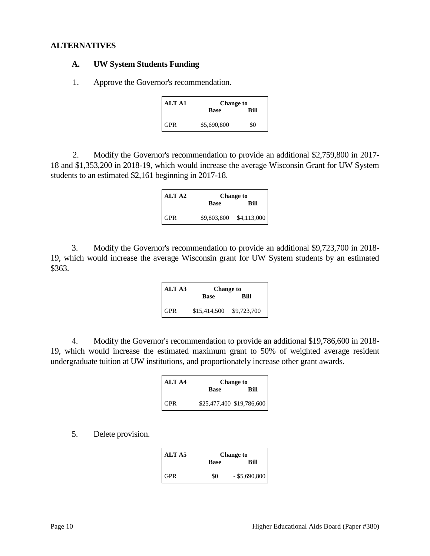#### **ALTERNATIVES**

#### **A. UW System Students Funding**

1. Approve the Governor's recommendation.

| <b>ALTA1</b> | <b>Change to</b> |      |
|--------------|------------------|------|
|              | <b>Base</b>      | Rill |
| <b>GPR</b>   | \$5,690,800      | \$0  |

2. Modify the Governor's recommendation to provide an additional \$2,759,800 in 2017- 18 and \$1,353,200 in 2018-19, which would increase the average Wisconsin Grant for UW System students to an estimated \$2,161 beginning in 2017-18.

| ALT A2     | <b>Change to</b> |                         |  |
|------------|------------------|-------------------------|--|
|            | <b>Base</b>      | Rill                    |  |
| <b>GPR</b> |                  | \$9,803,800 \$4,113,000 |  |

3. Modify the Governor's recommendation to provide an additional \$9,723,700 in 2018- 19, which would increase the average Wisconsin grant for UW System students by an estimated \$363.

| ALT <sub>A3</sub> | <b>Change to</b>         |      |
|-------------------|--------------------------|------|
|                   | <b>Base</b>              | Rill |
| <b>GPR</b>        | \$15,414,500 \$9,723,700 |      |

4. Modify the Governor's recommendation to provide an additional \$19,786,600 in 2018- 19, which would increase the estimated maximum grant to 50% of weighted average resident undergraduate tuition at UW institutions, and proportionately increase other grant awards.

| ALT A4 | <b>Change to</b> |                           |  |
|--------|------------------|---------------------------|--|
|        | <b>Base</b>      | Rill                      |  |
| GPR    |                  | \$25,477,400 \$19,786,600 |  |

5. Delete provision.

| ALT A5     | <b>Change to</b> |                 |
|------------|------------------|-----------------|
|            | Base             | Rill            |
| <b>GPR</b> | \$0              | $-$ \$5,690,800 |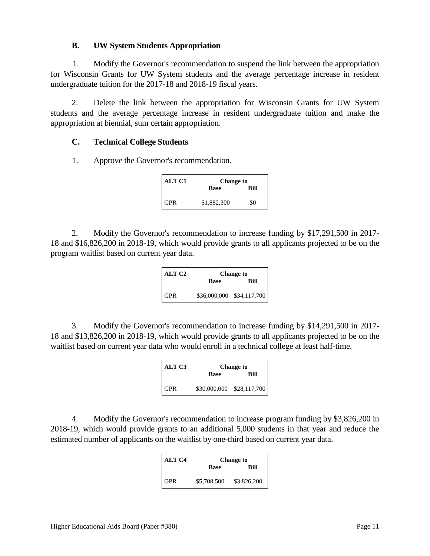### **B. UW System Students Appropriation**

1. Modify the Governor's recommendation to suspend the link between the appropriation for Wisconsin Grants for UW System students and the average percentage increase in resident undergraduate tuition for the 2017-18 and 2018-19 fiscal years.

2. Delete the link between the appropriation for Wisconsin Grants for UW System students and the average percentage increase in resident undergraduate tuition and make the appropriation at biennial, sum certain appropriation.

#### **C. Technical College Students**

1. Approve the Governor's recommendation.

| <b>ALT C1</b> | <b>Change to</b> |      |
|---------------|------------------|------|
|               | <b>Base</b>      | Rill |
| GPR           | \$1,882,300      | \$0  |

2. Modify the Governor's recommendation to increase funding by \$17,291,500 in 2017- 18 and \$16,826,200 in 2018-19, which would provide grants to all applicants projected to be on the program waitlist based on current year data.

| ALT C <sub>2</sub> | <b>Change to</b> |                           |  |
|--------------------|------------------|---------------------------|--|
|                    | <b>Base</b>      | Rill                      |  |
| <b>GPR</b>         |                  | \$36,000,000 \$34,117,700 |  |

3. Modify the Governor's recommendation to increase funding by \$14,291,500 in 2017- 18 and \$13,826,200 in 2018-19, which would provide grants to all applicants projected to be on the waitlist based on current year data who would enroll in a technical college at least half-time.

| ALT <sub>C3</sub> | <b>Change to</b> |                           |  |
|-------------------|------------------|---------------------------|--|
|                   | <b>Base</b>      | Rill                      |  |
| <b>GPR</b>        |                  | \$30,000,000 \$28,117,700 |  |

4. Modify the Governor's recommendation to increase program funding by \$3,826,200 in 2018-19, which would provide grants to an additional 5,000 students in that year and reduce the estimated number of applicants on the waitlist by one-third based on current year data.

| ALT C <sub>4</sub> | <b>Change to</b> |             |  |
|--------------------|------------------|-------------|--|
|                    | <b>Base</b>      | Rill        |  |
| GPR                | \$5,708,500      | \$3,826,200 |  |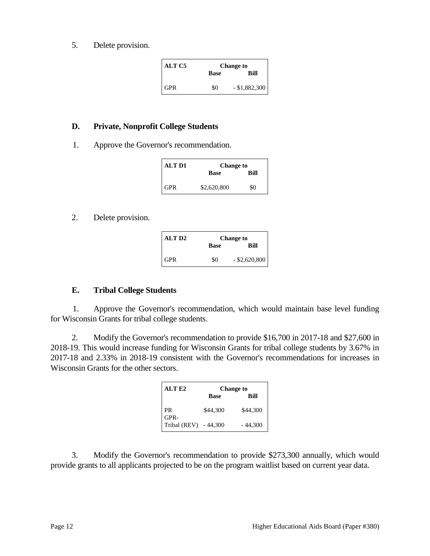5. Delete provision.

| ALT C5 | <b>Change to</b> |                 |  |
|--------|------------------|-----------------|--|
|        | Base             | Rill            |  |
| GPR    | \$0              | $-$ \$1,882,300 |  |

#### **D. Private, Nonprofit College Students**

1. Approve the Governor's recommendation.

| <b>ALT D1</b> | <b>Change to</b> |      |  |
|---------------|------------------|------|--|
|               | <b>Base</b>      | Rill |  |
| <b>GPR</b>    | \$2,620,800      | \$0  |  |

2. Delete provision.

| ALT D2 | <b>Change to</b> |                 |  |
|--------|------------------|-----------------|--|
|        | Base             | Rill            |  |
| GPR    | \$0              | $-$ \$2,620,800 |  |

### **E. Tribal College Students**

1. Approve the Governor's recommendation, which would maintain base level funding for Wisconsin Grants for tribal college students.

2. Modify the Governor's recommendation to provide \$16,700 in 2017-18 and \$27,600 in 2018-19. This would increase funding for Wisconsin Grants for tribal college students by 3.67% in 2017-18 and 2.33% in 2018-19 consistent with the Governor's recommendations for increases in Wisconsin Grants for the other sectors.

| ALT E2                | <b>Change to</b> |           |
|-----------------------|------------------|-----------|
|                       | <b>Base</b>      | Rill      |
| PR<br>GPR-            | \$44,300         | \$44,300  |
| Tribal (REV) - 44,300 |                  | $-44,300$ |

3. Modify the Governor's recommendation to provide \$273,300 annually, which would provide grants to all applicants projected to be on the program waitlist based on current year data.